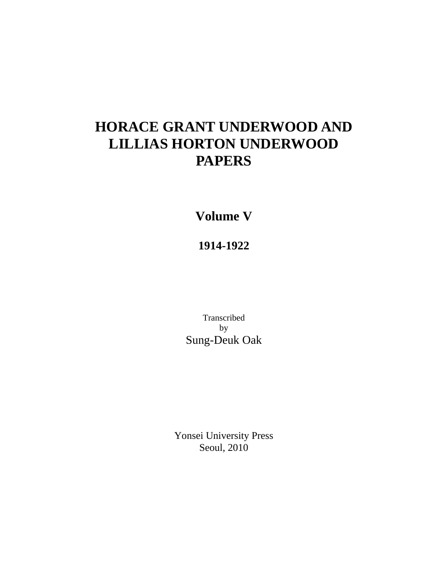# **HORACE GRANT UNDERWOOD AND LILLIAS HORTON UNDERWOOD PAPERS**

**Volume V** 

**1914-1922** 

Transcribed by Sung-Deuk Oak

Yonsei University Press Seoul, 2010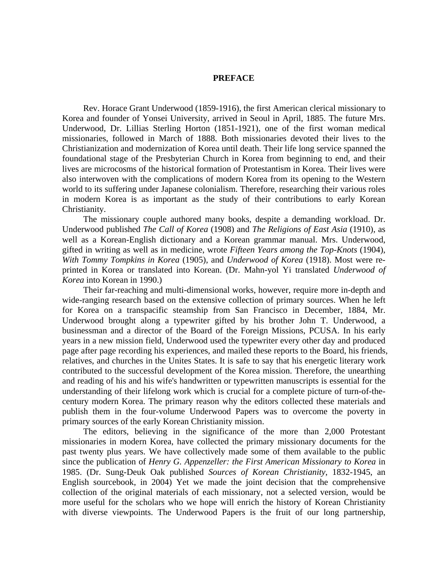#### **PREFACE**

Rev. Horace Grant Underwood (1859-1916), the first American clerical missionary to Korea and founder of Yonsei University, arrived in Seoul in April, 1885. The future Mrs. Underwood, Dr. Lillias Sterling Horton (1851-1921), one of the first woman medical missionaries, followed in March of 1888. Both missionaries devoted their lives to the Christianization and modernization of Korea until death. Their life long service spanned the foundational stage of the Presbyterian Church in Korea from beginning to end, and their lives are microcosms of the historical formation of Protestantism in Korea. Their lives were also interwoven with the complications of modern Korea from its opening to the Western world to its suffering under Japanese colonialism. Therefore, researching their various roles in modern Korea is as important as the study of their contributions to early Korean Christianity.

The missionary couple authored many books, despite a demanding workload. Dr. Underwood published *The Call of Korea* (1908) and *The Religions of East Asia* (1910), as well as a Korean-English dictionary and a Korean grammar manual. Mrs. Underwood, gifted in writing as well as in medicine, wrote *Fifteen Years among the Top-Knots* (1904), *With Tommy Tompkins in Korea* (1905), and *Underwood of Korea* (1918). Most were reprinted in Korea or translated into Korean. (Dr. Mahn-yol Yi translated *Underwood of Korea* into Korean in 1990.)

Their far-reaching and multi-dimensional works, however, require more in-depth and wide-ranging research based on the extensive collection of primary sources. When he left for Korea on a transpacific steamship from San Francisco in December, 1884, Mr. Underwood brought along a typewriter gifted by his brother John T. Underwood, a businessman and a director of the Board of the Foreign Missions, PCUSA. In his early years in a new mission field, Underwood used the typewriter every other day and produced page after page recording his experiences, and mailed these reports to the Board, his friends, relatives, and churches in the Unites States. It is safe to say that his energetic literary work contributed to the successful development of the Korea mission. Therefore, the unearthing and reading of his and his wife's handwritten or typewritten manuscripts is essential for the understanding of their lifelong work which is crucial for a complete picture of turn-of-thecentury modern Korea. The primary reason why the editors collected these materials and publish them in the four-volume Underwood Papers was to overcome the poverty in primary sources of the early Korean Christianity mission.

The editors, believing in the significance of the more than 2,000 Protestant missionaries in modern Korea, have collected the primary missionary documents for the past twenty plus years. We have collectively made some of them available to the public since the publication of *Henry G. Appenzeller: the First American Missionary to Korea* in 1985. (Dr. Sung-Deuk Oak published *Sources of Korean Christianity*, 1832-1945, an English sourcebook, in 2004) Yet we made the joint decision that the comprehensive collection of the original materials of each missionary, not a selected version, would be more useful for the scholars who we hope will enrich the history of Korean Christianity with diverse viewpoints. The Underwood Papers is the fruit of our long partnership,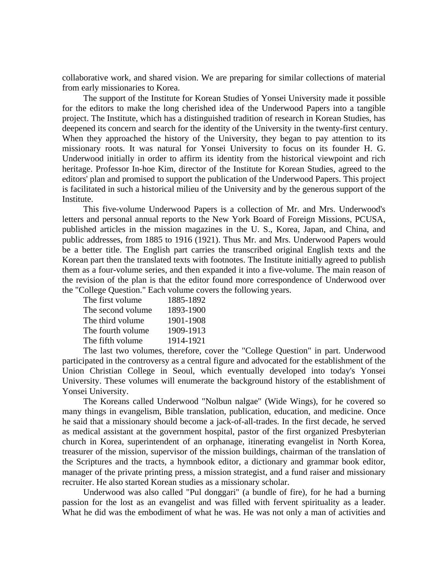collaborative work, and shared vision. We are preparing for similar collections of material from early missionaries to Korea.

The support of the Institute for Korean Studies of Yonsei University made it possible for the editors to make the long cherished idea of the Underwood Papers into a tangible project. The Institute, which has a distinguished tradition of research in Korean Studies, has deepened its concern and search for the identity of the University in the twenty-first century. When they approached the history of the University, they began to pay attention to its missionary roots. It was natural for Yonsei University to focus on its founder H. G. Underwood initially in order to affirm its identity from the historical viewpoint and rich heritage. Professor In-hoe Kim, director of the Institute for Korean Studies, agreed to the editors' plan and promised to support the publication of the Underwood Papers. This project is facilitated in such a historical milieu of the University and by the generous support of the Institute.

This five-volume Underwood Papers is a collection of Mr. and Mrs. Underwood's letters and personal annual reports to the New York Board of Foreign Missions, PCUSA, published articles in the mission magazines in the U. S., Korea, Japan, and China, and public addresses, from 1885 to 1916 (1921). Thus Mr. and Mrs. Underwood Papers would be a better title. The English part carries the transcribed original English texts and the Korean part then the translated texts with footnotes. The Institute initially agreed to publish them as a four-volume series, and then expanded it into a five-volume. The main reason of the revision of the plan is that the editor found more correspondence of Underwood over the "College Question." Each volume covers the following years.

| The first volume  | 1885-1892 |
|-------------------|-----------|
| The second volume | 1893-1900 |
| The third volume  | 1901-1908 |
| The fourth volume | 1909-1913 |
| The fifth volume  | 1914-1921 |

The last two volumes, therefore, cover the "College Question" in part. Underwood participated in the controversy as a central figure and advocated for the establishment of the Union Christian College in Seoul, which eventually developed into today's Yonsei University. These volumes will enumerate the background history of the establishment of Yonsei University.

The Koreans called Underwood "Nolbun nalgae" (Wide Wings), for he covered so many things in evangelism, Bible translation, publication, education, and medicine. Once he said that a missionary should become a jack-of-all-trades. In the first decade, he served as medical assistant at the government hospital, pastor of the first organized Presbyterian church in Korea, superintendent of an orphanage, itinerating evangelist in North Korea, treasurer of the mission, supervisor of the mission buildings, chairman of the translation of the Scriptures and the tracts, a hymnbook editor, a dictionary and grammar book editor, manager of the private printing press, a mission strategist, and a fund raiser and missionary recruiter. He also started Korean studies as a missionary scholar.

Underwood was also called "Pul donggari" (a bundle of fire), for he had a burning passion for the lost as an evangelist and was filled with fervent spirituality as a leader. What he did was the embodiment of what he was. He was not only a man of activities and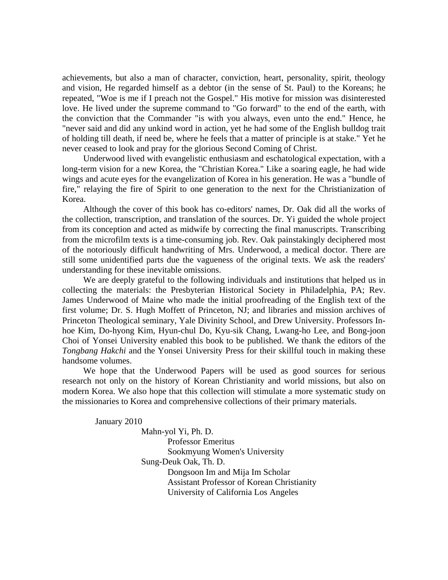achievements, but also a man of character, conviction, heart, personality, spirit, theology and vision, He regarded himself as a debtor (in the sense of St. Paul) to the Koreans; he repeated, "Woe is me if I preach not the Gospel." His motive for mission was disinterested love. He lived under the supreme command to "Go forward" to the end of the earth, with the conviction that the Commander "is with you always, even unto the end." Hence, he "never said and did any unkind word in action, yet he had some of the English bulldog trait of holding till death, if need be, where he feels that a matter of principle is at stake." Yet he never ceased to look and pray for the glorious Second Coming of Christ.

Underwood lived with evangelistic enthusiasm and eschatological expectation, with a long-term vision for a new Korea, the "Christian Korea." Like a soaring eagle, he had wide wings and acute eyes for the evangelization of Korea in his generation. He was a "bundle of fire," relaying the fire of Spirit to one generation to the next for the Christianization of Korea.

Although the cover of this book has co-editors' names, Dr. Oak did all the works of the collection, transcription, and translation of the sources. Dr. Yi guided the whole project from its conception and acted as midwife by correcting the final manuscripts. Transcribing from the microfilm texts is a time-consuming job. Rev. Oak painstakingly deciphered most of the notoriously difficult handwriting of Mrs. Underwood, a medical doctor. There are still some unidentified parts due the vagueness of the original texts. We ask the readers' understanding for these inevitable omissions.

We are deeply grateful to the following individuals and institutions that helped us in collecting the materials: the Presbyterian Historical Society in Philadelphia, PA; Rev. James Underwood of Maine who made the initial proofreading of the English text of the first volume; Dr. S. Hugh Moffett of Princeton, NJ; and libraries and mission archives of Princeton Theological seminary, Yale Divinity School, and Drew University. Professors Inhoe Kim, Do-hyong Kim, Hyun-chul Do, Kyu-sik Chang, Lwang-ho Lee, and Bong-joon Choi of Yonsei University enabled this book to be published. We thank the editors of the *Tongbang Hakchi* and the Yonsei University Press for their skillful touch in making these handsome volumes.

We hope that the Underwood Papers will be used as good sources for serious research not only on the history of Korean Christianity and world missions, but also on modern Korea. We also hope that this collection will stimulate a more systematic study on the missionaries to Korea and comprehensive collections of their primary materials.

January 2010

Mahn-yol Yi, Ph. D. Professor Emeritus Sookmyung Women's University Sung-Deuk Oak, Th. D. Dongsoon Im and Mija Im Scholar Assistant Professor of Korean Christianity University of California Los Angeles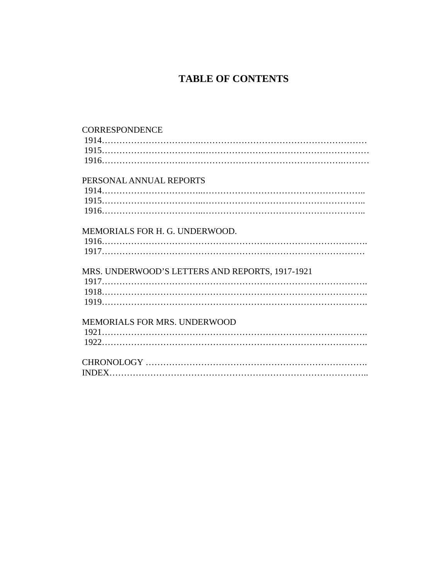## **TABLE OF CONTENTS**

| <b>CORRESPONDENCE</b>                           |
|-------------------------------------------------|
|                                                 |
|                                                 |
|                                                 |
| PERSONAL ANNUAL REPORTS                         |
|                                                 |
|                                                 |
|                                                 |
| MEMORIALS FOR H. G. UNDERWOOD.                  |
|                                                 |
|                                                 |
| MRS. UNDERWOOD'S LETTERS AND REPORTS, 1917-1921 |
|                                                 |
|                                                 |
|                                                 |
| MEMORIALS FOR MRS. UNDERWOOD                    |
|                                                 |
|                                                 |
|                                                 |
|                                                 |
|                                                 |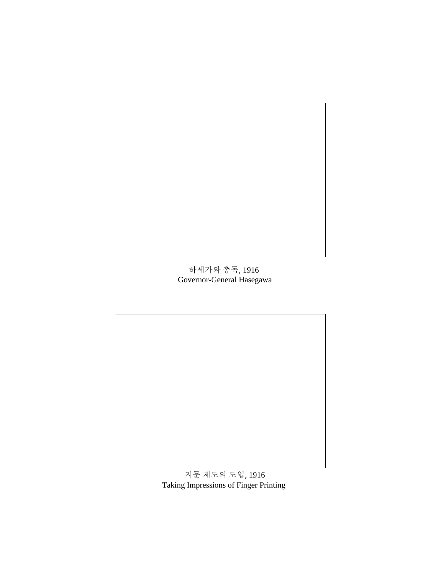

하세가와 총독, 1916 Governor-General Hasegawa



지문 제도의 도입, 1916 Taking Impressions of Finger Printing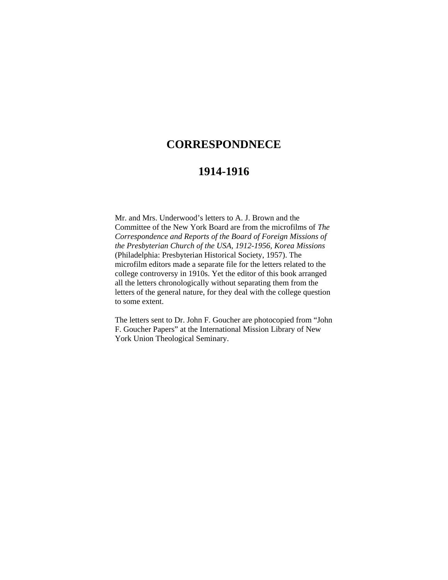### **CORRESPONDNECE**

### **1914-1916**

Mr. and Mrs. Underwood's letters to A. J. Brown and the Committee of the New York Board are from the microfilms of *The Correspondence and Reports of the Board of Foreign Missions of the Presbyterian Church of the USA, 1912-1956, Korea Missions*  (Philadelphia: Presbyterian Historical Society, 1957). The microfilm editors made a separate file for the letters related to the college controversy in 1910s. Yet the editor of this book arranged all the letters chronologically without separating them from the letters of the general nature, for they deal with the college question to some extent.

The letters sent to Dr. John F. Goucher are photocopied from "John F. Goucher Papers" at the International Mission Library of New York Union Theological Seminary.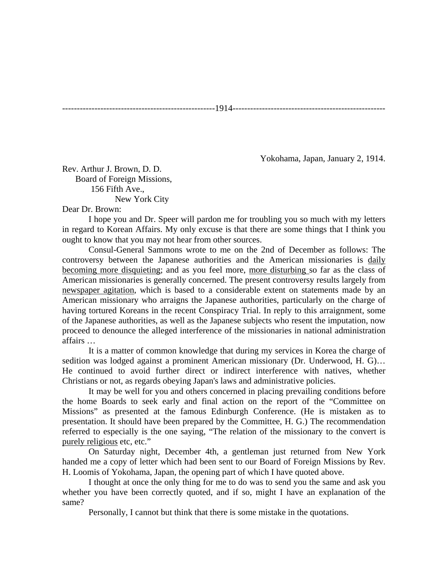----------------------------------------------------1914----------------------------------------------------

Yokohama, Japan, January 2, 1914.

Rev. Arthur J. Brown, D. D. Board of Foreign Missions, 156 Fifth Ave., New York City

#### Dear Dr. Brown:

I hope you and Dr. Speer will pardon me for troubling you so much with my letters in regard to Korean Affairs. My only excuse is that there are some things that I think you ought to know that you may not hear from other sources.

Consul-General Sammons wrote to me on the 2nd of December as follows: The controversy between the Japanese authorities and the American missionaries is daily becoming more disquieting; and as you feel more, more disturbing so far as the class of American missionaries is generally concerned. The present controversy results largely from newspaper agitation, which is based to a considerable extent on statements made by an American missionary who arraigns the Japanese authorities, particularly on the charge of having tortured Koreans in the recent Conspiracy Trial. In reply to this arraignment, some of the Japanese authorities, as well as the Japanese subjects who resent the imputation, now proceed to denounce the alleged interference of the missionaries in national administration affairs …

It is a matter of common knowledge that during my services in Korea the charge of sedition was lodged against a prominent American missionary (Dr. Underwood, H. G)… He continued to avoid further direct or indirect interference with natives, whether Christians or not, as regards obeying Japan's laws and administrative policies.

It may be well for you and others concerned in placing prevailing conditions before the home Boards to seek early and final action on the report of the "Committee on Missions" as presented at the famous Edinburgh Conference. (He is mistaken as to presentation. It should have been prepared by the Committee, H. G.) The recommendation referred to especially is the one saying, "The relation of the missionary to the convert is purely religious etc, etc."

On Saturday night, December 4th, a gentleman just returned from New York handed me a copy of letter which had been sent to our Board of Foreign Missions by Rev. H. Loomis of Yokohama, Japan, the opening part of which I have quoted above.

I thought at once the only thing for me to do was to send you the same and ask you whether you have been correctly quoted, and if so, might I have an explanation of the same?

Personally, I cannot but think that there is some mistake in the quotations.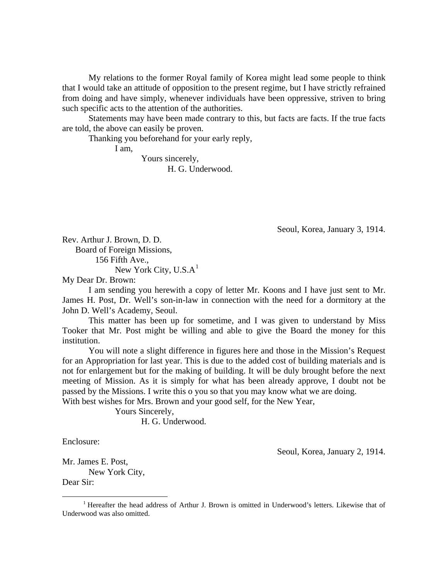My relations to the former Royal family of Korea might lead some people to think that I would take an attitude of opposition to the present regime, but I have strictly refrained from doing and have simply, whenever individuals have been oppressive, striven to bring such specific acts to the attention of the authorities.

Statements may have been made contrary to this, but facts are facts. If the true facts are told, the above can easily be proven.

Thanking you beforehand for your early reply,

I am,

Yours sincerely, H. G. Underwood.

Seoul, Korea, January 3, 1914.

Rev. Arthur J. Brown, D. D. Board of Foreign Missions, 156 Fifth Ave.,

New York City,  $U.S.A<sup>1</sup>$  $U.S.A<sup>1</sup>$  $U.S.A<sup>1</sup>$ 

My Dear Dr. Brown:

I am sending you herewith a copy of letter Mr. Koons and I have just sent to Mr. James H. Post, Dr. Well's son-in-law in connection with the need for a dormitory at the John D. Well's Academy, Seoul.

This matter has been up for sometime, and I was given to understand by Miss Tooker that Mr. Post might be willing and able to give the Board the money for this institution.

You will note a slight difference in figures here and those in the Mission's Request for an Appropriation for last year. This is due to the added cost of building materials and is not for enlargement but for the making of building. It will be duly brought before the next meeting of Mission. As it is simply for what has been already approve, I doubt not be passed by the Missions. I write this o you so that you may know what we are doing.

With best wishes for Mrs. Brown and your good self, for the New Year,

 Yours Sincerely, H. G. Underwood.

Enclosure:

Seoul, Korea, January 2, 1914.

Mr. James E. Post,

New York City, Dear Sir:

<span id="page-9-0"></span> $\frac{1}{1}$ <sup>1</sup> Hereafter the head address of Arthur J. Brown is omitted in Underwood's letters. Likewise that of Underwood was also omitted.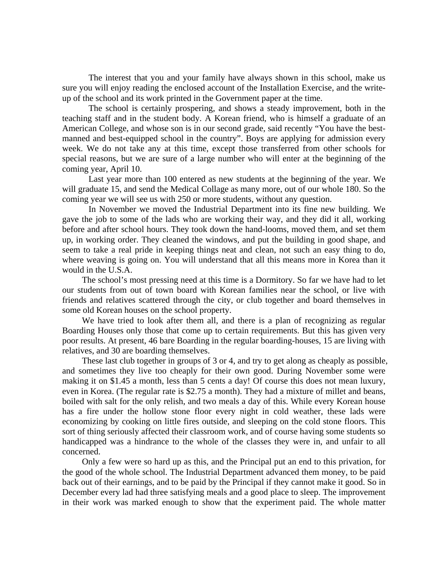The interest that you and your family have always shown in this school, make us sure you will enjoy reading the enclosed account of the Installation Exercise, and the writeup of the school and its work printed in the Government paper at the time.

The school is certainly prospering, and shows a steady improvement, both in the teaching staff and in the student body. A Korean friend, who is himself a graduate of an American College, and whose son is in our second grade, said recently "You have the bestmanned and best-equipped school in the country". Boys are applying for admission every week. We do not take any at this time, except those transferred from other schools for special reasons, but we are sure of a large number who will enter at the beginning of the coming year, April 10.

Last year more than 100 entered as new students at the beginning of the year. We will graduate 15, and send the Medical Collage as many more, out of our whole 180. So the coming year we will see us with 250 or more students, without any question.

In November we moved the Industrial Department into its fine new building. We gave the job to some of the lads who are working their way, and they did it all, working before and after school hours. They took down the hand-looms, moved them, and set them up, in working order. They cleaned the windows, and put the building in good shape, and seem to take a real pride in keeping things neat and clean, not such an easy thing to do, where weaving is going on. You will understand that all this means more in Korea than it would in the U.S.A.

The school's most pressing need at this time is a Dormitory. So far we have had to let our students from out of town board with Korean families near the school, or live with friends and relatives scattered through the city, or club together and board themselves in some old Korean houses on the school property.

We have tried to look after them all, and there is a plan of recognizing as regular Boarding Houses only those that come up to certain requirements. But this has given very poor results. At present, 46 bare Boarding in the regular boarding-houses, 15 are living with relatives, and 30 are boarding themselves.

These last club together in groups of 3 or 4, and try to get along as cheaply as possible, and sometimes they live too cheaply for their own good. During November some were making it on \$1.45 a month, less than 5 cents a day! Of course this does not mean luxury, even in Korea. (The regular rate is \$2.75 a month). They had a mixture of millet and beans, boiled with salt for the only relish, and two meals a day of this. While every Korean house has a fire under the hollow stone floor every night in cold weather, these lads were economizing by cooking on little fires outside, and sleeping on the cold stone floors. This sort of thing seriously affected their classroom work, and of course having some students so handicapped was a hindrance to the whole of the classes they were in, and unfair to all concerned.

Only a few were so hard up as this, and the Principal put an end to this privation, for the good of the whole school. The Industrial Department advanced them money, to be paid back out of their earnings, and to be paid by the Principal if they cannot make it good. So in December every lad had three satisfying meals and a good place to sleep. The improvement in their work was marked enough to show that the experiment paid. The whole matter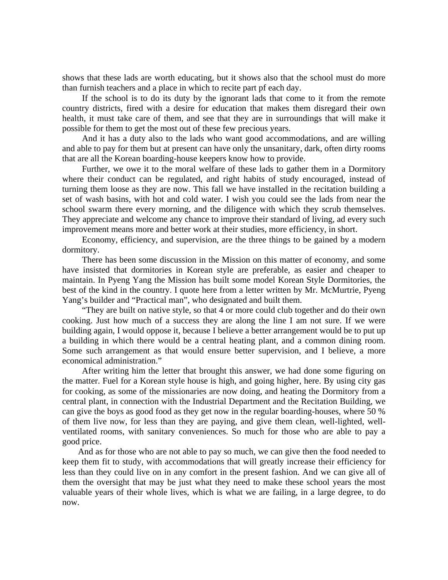shows that these lads are worth educating, but it shows also that the school must do more than furnish teachers and a place in which to recite part pf each day.

If the school is to do its duty by the ignorant lads that come to it from the remote country districts, fired with a desire for education that makes them disregard their own health, it must take care of them, and see that they are in surroundings that will make it possible for them to get the most out of these few precious years.

And it has a duty also to the lads who want good accommodations, and are willing and able to pay for them but at present can have only the unsanitary, dark, often dirty rooms that are all the Korean boarding-house keepers know how to provide.

Further, we owe it to the moral welfare of these lads to gather them in a Dormitory where their conduct can be regulated, and right habits of study encouraged, instead of turning them loose as they are now. This fall we have installed in the recitation building a set of wash basins, with hot and cold water. I wish you could see the lads from near the school swarm there every morning, and the diligence with which they scrub themselves. They appreciate and welcome any chance to improve their standard of living, ad every such improvement means more and better work at their studies, more efficiency, in short.

Economy, efficiency, and supervision, are the three things to be gained by a modern dormitory.

There has been some discussion in the Mission on this matter of economy, and some have insisted that dormitories in Korean style are preferable, as easier and cheaper to maintain. In Pyeng Yang the Mission has built some model Korean Style Dormitories, the best of the kind in the country. I quote here from a letter written by Mr. McMurtrie, Pyeng Yang's builder and "Practical man", who designated and built them.

"They are built on native style, so that 4 or more could club together and do their own cooking. Just how much of a success they are along the line I am not sure. If we were building again, I would oppose it, because I believe a better arrangement would be to put up a building in which there would be a central heating plant, and a common dining room. Some such arrangement as that would ensure better supervision, and I believe, a more economical administration."

After writing him the letter that brought this answer, we had done some figuring on the matter. Fuel for a Korean style house is high, and going higher, here. By using city gas for cooking, as some of the missionaries are now doing, and heating the Dormitory from a central plant, in connection with the Industrial Department and the Recitation Building, we can give the boys as good food as they get now in the regular boarding-houses, where 50 % of them live now, for less than they are paying, and give them clean, well-lighted, wellventilated rooms, with sanitary conveniences. So much for those who are able to pay a good price.

And as for those who are not able to pay so much, we can give then the food needed to keep them fit to study, with accommodations that will greatly increase their efficiency for less than they could live on in any comfort in the present fashion. And we can give all of them the oversight that may be just what they need to make these school years the most valuable years of their whole lives, which is what we are failing, in a large degree, to do now.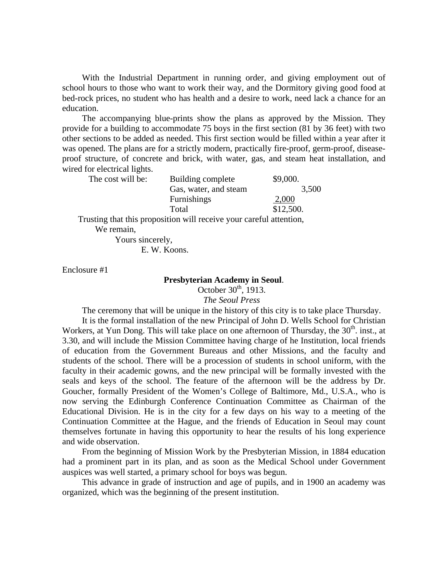With the Industrial Department in running order, and giving employment out of school hours to those who want to work their way, and the Dormitory giving good food at bed-rock prices, no student who has health and a desire to work, need lack a chance for an education.

The accompanying blue-prints show the plans as approved by the Mission. They provide for a building to accommodate 75 boys in the first section (81 by 36 feet) with two other sections to be added as needed. This first section would be filled within a year after it was opened. The plans are for a strictly modern, practically fire-proof, germ-proof, diseaseproof structure, of concrete and brick, with water, gas, and steam heat installation, and wired for electrical lights.

| The cost will be: | Building complete     | \$9,000.  |
|-------------------|-----------------------|-----------|
|                   | Gas, water, and steam | 3,500     |
|                   | Furnishings           | 2,000     |
|                   | Total                 | \$12,500. |
|                   |                       |           |

Trusting that this proposition will receive your careful attention, We remain,

 Yours sincerely, E. W. Koons.

Enclosure #1

### **Presbyterian Academy in Seoul**.

October  $30<sup>th</sup>$ , 1913.

*The Seoul Press* 

The ceremony that will be unique in the history of this city is to take place Thursday.

It is the formal installation of the new Principal of John D. Wells School for Christian Workers, at Yun Dong. This will take place on one afternoon of Thursday, the  $30<sup>th</sup>$ . inst., at 3.30, and will include the Mission Committee having charge of he Institution, local friends of education from the Government Bureaus and other Missions, and the faculty and students of the school. There will be a procession of students in school uniform, with the faculty in their academic gowns, and the new principal will be formally invested with the seals and keys of the school. The feature of the afternoon will be the address by Dr. Goucher, formally President of the Women's College of Baltimore, Md., U.S.A., who is now serving the Edinburgh Conference Continuation Committee as Chairman of the Educational Division. He is in the city for a few days on his way to a meeting of the Continuation Committee at the Hague, and the friends of Education in Seoul may count themselves fortunate in having this opportunity to hear the results of his long experience and wide observation.

From the beginning of Mission Work by the Presbyterian Mission, in 1884 education had a prominent part in its plan, and as soon as the Medical School under Government auspices was well started, a primary school for boys was begun.

This advance in grade of instruction and age of pupils, and in 1900 an academy was organized, which was the beginning of the present institution.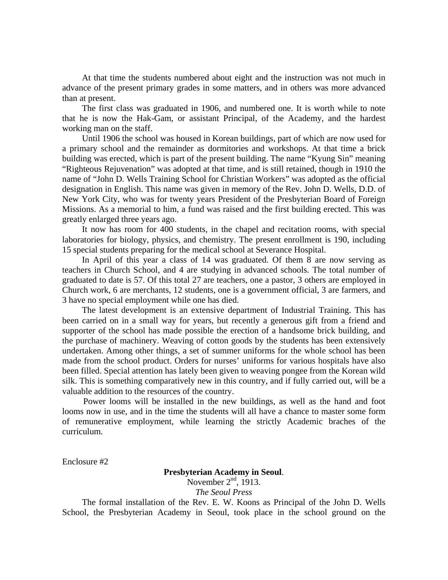At that time the students numbered about eight and the instruction was not much in advance of the present primary grades in some matters, and in others was more advanced than at present.

The first class was graduated in 1906, and numbered one. It is worth while to note that he is now the Hak-Gam, or assistant Principal, of the Academy, and the hardest working man on the staff.

Until 1906 the school was housed in Korean buildings, part of which are now used for a primary school and the remainder as dormitories and workshops. At that time a brick building was erected, which is part of the present building. The name "Kyung Sin" meaning "Righteous Rejuvenation" was adopted at that time, and is still retained, though in 1910 the name of "John D. Wells Training School for Christian Workers" was adopted as the official designation in English. This name was given in memory of the Rev. John D. Wells, D.D. of New York City, who was for twenty years President of the Presbyterian Board of Foreign Missions. As a memorial to him, a fund was raised and the first building erected. This was greatly enlarged three years ago.

It now has room for 400 students, in the chapel and recitation rooms, with special laboratories for biology, physics, and chemistry. The present enrollment is 190, including 15 special students preparing for the medical school at Severance Hospital.

In April of this year a class of 14 was graduated. Of them 8 are now serving as teachers in Church School, and 4 are studying in advanced schools. The total number of graduated to date is 57. Of this total 27 are teachers, one a pastor, 3 others are employed in Church work, 6 are merchants, 12 students, one is a government official, 3 are farmers, and 3 have no special employment while one has died.

The latest development is an extensive department of Industrial Training. This has been carried on in a small way for years, but recently a generous gift from a friend and supporter of the school has made possible the erection of a handsome brick building, and the purchase of machinery. Weaving of cotton goods by the students has been extensively undertaken. Among other things, a set of summer uniforms for the whole school has been made from the school product. Orders for nurses' uniforms for various hospitals have also been filled. Special attention has lately been given to weaving pongee from the Korean wild silk. This is something comparatively new in this country, and if fully carried out, will be a valuable addition to the resources of the country.

Power looms will be installed in the new buildings, as well as the hand and foot looms now in use, and in the time the students will all have a chance to master some form of remunerative employment, while learning the strictly Academic braches of the curriculum.

Enclosure #2

### **Presbyterian Academy in Seoul**. November  $2<sup>nd</sup>$ , 1913. *The Seoul Press*

The formal installation of the Rev. E. W. Koons as Principal of the John D. Wells School, the Presbyterian Academy in Seoul, took place in the school ground on the